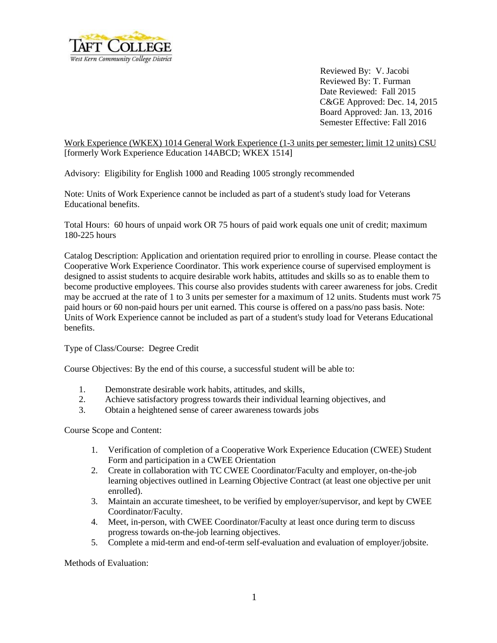

 Reviewed By: V. Jacobi Reviewed By: T. Furman Date Reviewed: Fall 2015 C&GE Approved: Dec. 14, 2015 Board Approved: Jan. 13, 2016 Semester Effective: Fall 2016

Work Experience (WKEX) 1014 General Work Experience (1-3 units per semester; limit 12 units) CSU [formerly Work Experience Education 14ABCD; WKEX 1514]

Advisory: Eligibility for English 1000 and Reading 1005 strongly recommended

Note: Units of Work Experience cannot be included as part of a student's study load for Veterans Educational benefits.

Total Hours: 60 hours of unpaid work OR 75 hours of paid work equals one unit of credit; maximum 180-225 hours

Catalog Description: Application and orientation required prior to enrolling in course. Please contact the Cooperative Work Experience Coordinator. This work experience course of supervised employment is designed to assist students to acquire desirable work habits, attitudes and skills so as to enable them to become productive employees. This course also provides students with career awareness for jobs. Credit may be accrued at the rate of 1 to 3 units per semester for a maximum of 12 units. Students must work 75 paid hours or 60 non-paid hours per unit earned. This course is offered on a pass/no pass basis. Note: Units of Work Experience cannot be included as part of a student's study load for Veterans Educational benefits.

Type of Class/Course: Degree Credit

Course Objectives: By the end of this course, a successful student will be able to:

- 1. Demonstrate desirable work habits, attitudes, and skills,
- 2. Achieve satisfactory progress towards their individual learning objectives, and
- 3. Obtain a heightened sense of career awareness towards jobs

Course Scope and Content:

- 1. Verification of completion of a Cooperative Work Experience Education (CWEE) Student Form and participation in a CWEE Orientation
- 2. Create in collaboration with TC CWEE Coordinator/Faculty and employer, on-the-job learning objectives outlined in Learning Objective Contract (at least one objective per unit enrolled).
- 3. Maintain an accurate timesheet, to be verified by employer/supervisor, and kept by CWEE Coordinator/Faculty.
- 4. Meet, in-person, with CWEE Coordinator/Faculty at least once during term to discuss progress towards on-the-job learning objectives.
- 5. Complete a mid-term and end-of-term self-evaluation and evaluation of employer/jobsite.

Methods of Evaluation: